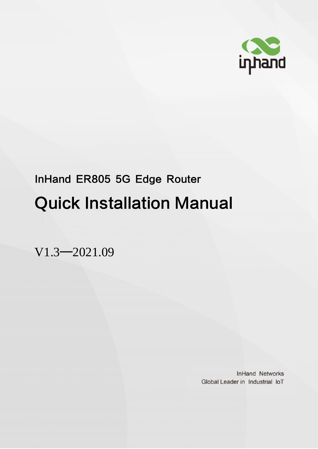

# InHand ER805 5G Edge Router Quick Installation Manual

V1.3—2021.09

**InHand Networks** Global Leader in Industrial IoT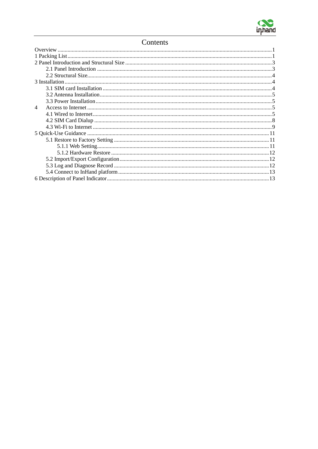

#### Contents

| 4 |  |  |  |  |
|---|--|--|--|--|
|   |  |  |  |  |
|   |  |  |  |  |
|   |  |  |  |  |
|   |  |  |  |  |
|   |  |  |  |  |
|   |  |  |  |  |
|   |  |  |  |  |
|   |  |  |  |  |
|   |  |  |  |  |
|   |  |  |  |  |
|   |  |  |  |  |
|   |  |  |  |  |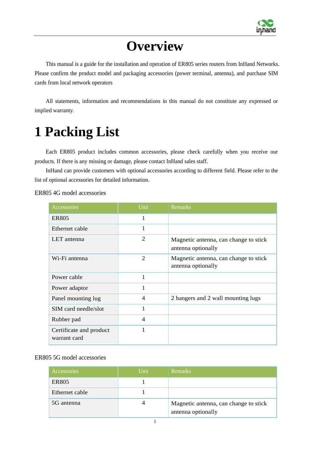

### **Overview**

<span id="page-2-0"></span>This manual is a guide for the installation and operation of ER805 series routers from InHand Networks. Please confirm the product model and packaging accessories (power terminal, antenna), and purchase SIM cards from local network operators

All statements, information and recommendations in this manual do not constitute any expressed or implied warranty.

## <span id="page-2-1"></span>**1 Packing List**

Each ER805 product includes common accessories, please check carefully when you receive our products. If there is any missing or damage, please contact InHand sales staff.

InHand can provide customers with optional accessories according to different field. Please refer to the list of optional accessories for detailed information.

ER805 4G model accessories

| Accessories                             | Unit           | Remarks                                                     |
|-----------------------------------------|----------------|-------------------------------------------------------------|
| <b>ER805</b>                            |                |                                                             |
| Ethernet cable                          |                |                                                             |
| LET antenna                             | 2              | Magnetic antenna, can change to stick<br>antenna optionally |
| Wi-Fi antenna                           | 2              | Magnetic antenna, can change to stick<br>antenna optionally |
| Power cable                             | 1              |                                                             |
| Power adaptor                           | $\mathbf{1}$   |                                                             |
| Panel mounting lug                      | $\overline{4}$ | 2 hangers and 2 wall mounting lugs                          |
| SIM card needle/slot                    | $\mathbf{1}$   |                                                             |
| Rubber pad                              | $\overline{4}$ |                                                             |
| Certificate and product<br>warrant card | 1              |                                                             |

#### ER805 5G model accessories

| Accessories    | Unit | <b>Remarks</b>                                              |
|----------------|------|-------------------------------------------------------------|
| <b>ER805</b>   |      |                                                             |
| Ethernet cable |      |                                                             |
| 5G antenna     |      | Magnetic antenna, can change to stick<br>antenna optionally |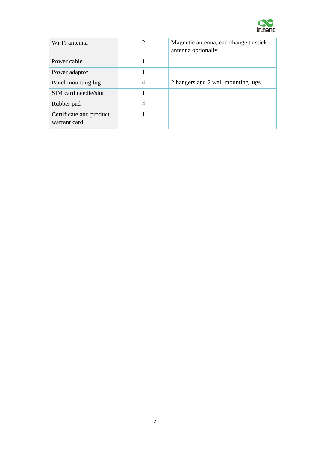

| Wi-Fi antenna                           | $\mathcal{D}_{\mathcal{A}}$ | Magnetic antenna, can change to stick<br>antenna optionally |
|-----------------------------------------|-----------------------------|-------------------------------------------------------------|
| Power cable                             |                             |                                                             |
| Power adaptor                           |                             |                                                             |
| Panel mounting lug                      | $\overline{4}$              | 2 hangers and 2 wall mounting lugs                          |
| SIM card needle/slot                    |                             |                                                             |
| Rubber pad                              | 4                           |                                                             |
| Certificate and product<br>warrant card |                             |                                                             |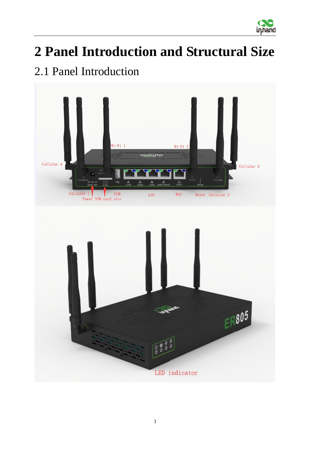

## <span id="page-4-0"></span>**2 Panel Introduction and Structural Size**

### <span id="page-4-1"></span>2.1 Panel Introduction

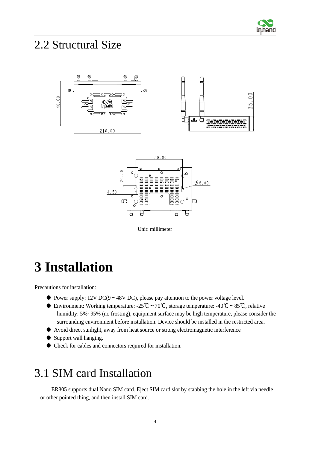

#### <span id="page-5-0"></span>2.2 Structural Size





Unit: millimeter

### <span id="page-5-1"></span>**3 Installation**

Precautions for installation:

- Power supply: 12V DC(9~48V DC), please pay attention to the power voltage level.
- $\bullet$  Environment: Working temperature: -25℃~70℃, storage temperature: -40℃~85℃, relative humidity: 5%~95% (no frosting), equipment surface may be high temperature, please consider the surrounding environment before installation. Device should be installed in the restricted area.
- Avoid direct sunlight, away from heat source or strong electromagnetic interference
- Support wall hanging.
- Check for cables and connectors required for installation.

#### <span id="page-5-2"></span>3.1 SIM card Installation

ER805 supports dual Nano SIM card. Eject SIM card slot by stabbing the hole in the left via needle or other pointed thing, and then install SIM card.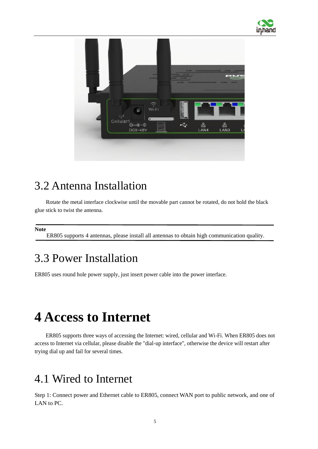



#### <span id="page-6-0"></span>3.2 Antenna Installation

Rotate the metal interface clockwise until the movable part cannot be rotated, do not hold the black glue stick to twist the antenna.

**Note**

ER805 supports 4 antennas, please install all antennas to obtain high communication quality.

#### <span id="page-6-1"></span>3.3 Power Installation

ER805 uses round hole power supply, just insert power cable into the power interface.

### <span id="page-6-2"></span>**4 Access to Internet**

ER805 supports three ways of accessing the Internet: wired, cellular and Wi-Fi. When ER805 does not access to Internet via cellular, please disable the "dial-up interface", otherwise the device will restart after trying dial up and fail for several times.

#### <span id="page-6-3"></span>4.1 Wired to Internet

Step 1: Connect power and Ethernet cable to ER805, connect WAN port to public network, and one of LAN to PC.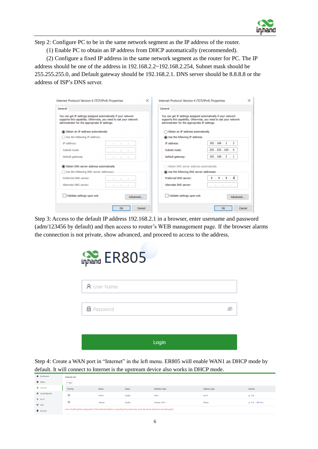

Step 2: Configure PC to be in the same network segment as the IP address of the router.

(1) Enable PC to obtain an IP address from DHCP automatically (recommended).

(2) Configure a fixed IP address in the same network segment as the router for PC. The IP address should be one of the address in 192.168.2.2~192.168.2.254, Subnet mask should be 255.255.255.0, and Default gateway should be 192.168.2.1. DNS server should be 8.8.8.8 or the address of ISP's DNS server.

|                                                                                                                                                                                       | $\times$<br>Internet Protocol Version 4 (TCP/IPv4) Properties | Internet Protocol Version 4 (TCP/IPv4) Properties                                                                | ×                                                                 |
|---------------------------------------------------------------------------------------------------------------------------------------------------------------------------------------|---------------------------------------------------------------|------------------------------------------------------------------------------------------------------------------|-------------------------------------------------------------------|
| General                                                                                                                                                                               |                                                               | General                                                                                                          |                                                                   |
| You can get IP settings assigned automatically if your network<br>supports this capability. Otherwise, you need to ask your network<br>administrator for the appropriate IP settings. |                                                               | You can get IP settings assigned automatically if your network<br>administrator for the appropriate IP settings. | supports this capability. Otherwise, you need to ask your network |
| Obtain an IP address automatically                                                                                                                                                    |                                                               | Obtain an IP address automatically                                                                               |                                                                   |
| Use the following IP address:                                                                                                                                                         |                                                               | Use the following IP address:                                                                                    |                                                                   |
| IP address:                                                                                                                                                                           | $\sim$<br>$\sim$                                              | IP address:                                                                                                      | 192.168.2.2                                                       |
| Subnet mask:                                                                                                                                                                          | <b>Barbara</b>                                                | Subnet mask:                                                                                                     | 255.255.255.0                                                     |
| Default gateway:                                                                                                                                                                      |                                                               | Default gateway:                                                                                                 | 192.168.2.1                                                       |
| Obtain DNS server address automatically                                                                                                                                               |                                                               | Obtain DNS server address automatically                                                                          |                                                                   |
| Use the following DNS server addresses                                                                                                                                                |                                                               | Use the following DNS server addresses                                                                           |                                                                   |
| Preferred DNS server:                                                                                                                                                                 |                                                               | Preferred DNS server:                                                                                            | 8.8.8.8                                                           |
| Alternate DNS server:                                                                                                                                                                 |                                                               | Alternate DNS server:                                                                                            | $\sim$<br>٠<br>٠                                                  |
| Validate settings upon exit                                                                                                                                                           | Advanced                                                      | Validate settings upon exit                                                                                      | Advanced                                                          |

Step 3: Access to the default IP address 192.168.2.1 in a browser, enter username and password (adm/123456 by default) and then access to router's WEB management page. If the browser alarms the connection is not private, show advanced, and proceed to access to the address.



Step 4: Create a WAN port in "Internet" in the left menu. ER805 wiill enable WAN1 as DHCP mode by default. It will connect to Internet is the upstream device also works in DHCP mode.

| <b>B</b> Dashboard      | <b>Internet List</b> |                                                                                                                                       |               |                |                     |                          |  |
|-------------------------|----------------------|---------------------------------------------------------------------------------------------------------------------------------------|---------------|----------------|---------------------|--------------------------|--|
| <b>目</b> Status         | $+$ Add              |                                                                                                                                       |               |                |                     |                          |  |
| e Internet              | Priority             | Name                                                                                                                                  | <b>Status</b> | Interface Type | <b>Address Type</b> | Actions                  |  |
| <b>B</b> Local Network  | 疆                    | WAN1                                                                                                                                  | Enable        | <b>WAN</b>     | <b>DHCP</b>         | $\angle$ Edit            |  |
| ক Wi-Fi<br><b>Y</b> VPN | 諨                    | Cellular                                                                                                                              | Enable        | Cellular: SIM1 | Dialup              | <b>∠</b> Edit   © Policy |  |
| G Security              |                      | Note: Modifying the configuration of the internet interface or adjusting the priority may cause the device network to be interrupted! |               |                |                     |                          |  |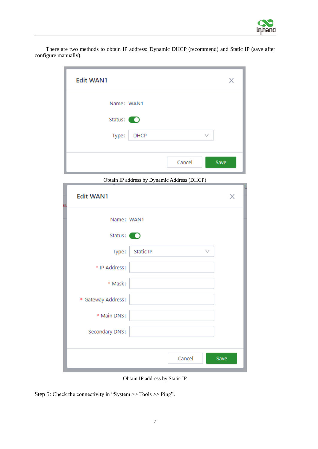

There are two methods to obtain IP address: Dynamic DHCP (recommend) and Static IP (save after configure manually).

| <b>Edit WAN1</b> | X              |
|------------------|----------------|
| Name: WAN1       |                |
| Status: O        |                |
| Type:<br>DHCP    | $\checkmark$   |
|                  | Cancel<br>Save |
|                  |                |

Obtain IP address by Dynamic Address (DHCP)

| <b>Edit WAN1</b><br>Эι | $\sim$ $\sim$ | X            |
|------------------------|---------------|--------------|
| Name: WAN1             |               |              |
| Status: O              |               |              |
| Type:                  | Static IP     | $\checkmark$ |
| * IP Address:          |               |              |
| * Mask:                |               |              |
| * Gateway Address:     |               |              |
| * Main DNS:            |               |              |
| Secondary DNS:         |               |              |
|                        |               |              |
|                        | Cancel        | Save         |

Obtain IP address by Static IP

Step 5: Check the connectivity in "System >> Tools >> Ping".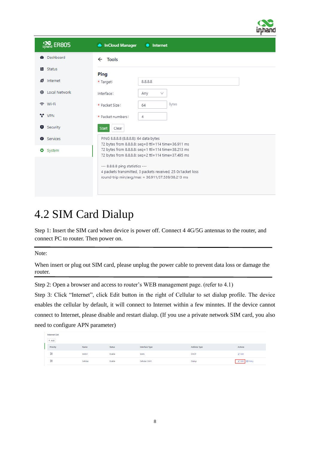

| Liphang ER805      | InCloud Manager<br>Internet                                                                                                                        |
|--------------------|----------------------------------------------------------------------------------------------------------------------------------------------------|
| <b>®</b> Dashboard | $\leftarrow$ Tools                                                                                                                                 |
| ■ Status           | Ping                                                                                                                                               |
| e<br>Internet      | 8.8.8.8<br>* Target:                                                                                                                               |
| Local Network<br>⋒ | Interface:<br>Any<br>$\vee$                                                                                                                        |
| 令 Wi-Fi            | Bytes<br>* Packet Size:<br>64                                                                                                                      |
| $\gamma$ vpn       | * Packet numbers:<br>4                                                                                                                             |
| Security           | Clear<br><b>Start</b>                                                                                                                              |
| Services           | PING 8.8.8.8 (8.8.8.8): 64 data bytes<br>72 bytes from 8.8.8.8: seq=0 ttl=114 time=36.911 ms                                                       |
| <b>O</b> System    | 72 bytes from 8.8.8.8: seq=1 ttl=114 time=38.213 ms<br>72 bytes from 8.8.8.8: seq=2 ttl=114 time=37.495 ms                                         |
|                    | --- 8.8.8.8 ping statistics ---<br>4 packets transmitted, 3 packets received, 25 0x1acket loss<br>round-trip min/avg/max = 36.911/37.539/38.213 ms |

### <span id="page-9-0"></span>4.2 SIM Card Dialup

Step 1: Insert the SIM card when device is power off. Connect 4 4G/5G antennas to the router, and connect PC to router. Then power on.

Note:

When insert or plug out SIM card, please unplug the power cable to prevent data loss or damage the router.

Step 2: Open a browser and access to router's WEB management page. (refer to 4.1)

Step 3: Click "Internet", click Edit button in the right of Cellular to set dialup profile. The device enables the cellular by default, it will connect to Internet within a few minntes. If the device cannot connect to Internet, please disable and restart dialup. (If you use a private network SIM card, you also need to configure APN parameter)

| <b>Internet List</b> |          |               |                |                     |                        |
|----------------------|----------|---------------|----------------|---------------------|------------------------|
| $+$ Add              |          |               |                |                     |                        |
| Priority             | Name     | <b>Status</b> | Interface Type | <b>Address Type</b> | Actions                |
| 泪                    | WAN1     | Enable        | <b>WAN</b>     | DHCP                | $\angle$ Edit          |
| 妇                    | Cellular | Enable        | Cellular: SIM1 | Dialup              | <b>Z</b> Edit © Policy |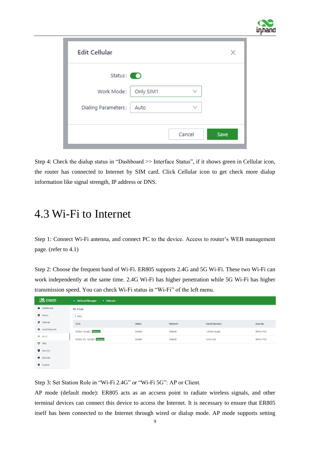

| <b>Edit Cellular</b> |           |              | X    |
|----------------------|-----------|--------------|------|
| Status: $\bigcirc$   |           |              |      |
| Work Mode:           | Only SIM1 | $\checkmark$ |      |
| Dialing Parameters:  | Auto      | $\checkmark$ |      |
|                      |           |              |      |
|                      |           | Cancel       | Save |

Step 4: Check the dialup status in "Dashboard >> Interface Status", if it shows green in Cellular icon, the router has connected to Internet by SIM card. Click Cellular icon to get check more dialup information like signal strength, IP address or DNS.

#### <span id="page-10-0"></span>4.3 Wi-Fi to Internet

Step 1: Connect Wi-Fi antenna, and connect PC to the device. Access to router's WEB management page. (refer to 4.1)

Step 2: Choose the frequent band of Wi-Fi. ER805 supports 2.4G and 5G Wi-Fi. These two Wi-Fi can work independently at the same time. 2.4G Wi-Fi has higher penetration while 5G Wi-Fi has higher transmission speed. You can check Wi-Fi status in "Wi-Fi" of the left menu.

| inhand ER805            | • InCloud Manager<br>$\bullet$ Internet |               |         |               |          |
|-------------------------|-----------------------------------------|---------------|---------|---------------|----------|
| <b>B</b> Dashboard      | Wi-Fi List                              |               |         |               |          |
| ■ Status                | $+$ Add                                 |               |         |               |          |
| $\mathcal{E}$ Internet  | SSID                                    | <b>Status</b> | Network | Band(Channel) | Security |
| <b>B</b> Local Network  | ER805-18268C Primary                    | Enable        | Default | 2.4GHz (Auto) | WPA2-PSK |
| <del>즉</del> Wi-Fi      | ER805-5G-18268D Primary                 | Enable        | Default | 5GHz (36)     | WPA2-PSK |
| $^{\bullet\bullet}$ VPN |                                         |               |         |               |          |
| Security                |                                         |               |         |               |          |
| <b>O</b> Services       |                                         |               |         |               |          |
| <b>D</b> System         |                                         |               |         |               |          |

Step 3: Set Station Role in "Wi-Fi 2.4G" or "Wi-Fi 5G": AP or Client.

AP mode (default mode): ER805 acts as an accsess point to radiate wireless signals, and other terminal devices can connect this device to access the Internet. It is necessary to ensure that ER805 itself has been connected to the Internet through wired or dialup mode. AP mode supports setting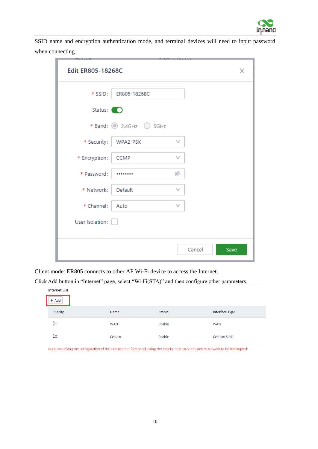

SSID name and encryption authentication mode, and terminal devices will need to input password when connecting.

| <b>Edit ER805-18268C</b>     | X              |
|------------------------------|----------------|
| * SSID:<br>ER805-18268C      |                |
| Status: O                    |                |
| * Band: 2.4GHz 3 5GHz        |                |
| * Security:<br>WPA2-PSK      | $\checkmark$   |
| * Encryption:<br><b>CCMP</b> | v              |
| * Password:                  | ø              |
| * Network:<br>Default        | v              |
| * Channel:<br>Auto           | $\checkmark$   |
| User Isolation:              |                |
|                              | Cancel<br>Save |

Client mode: ER805 connects to other AP Wi-Fi device to access the Internet.

Click Add button in "Internet" page, select "Wi-Fi(STA)" and then configure other parameters.

| <b>Internet List</b> |          |               |                       |
|----------------------|----------|---------------|-----------------------|
| $+$ Add              |          |               |                       |
| Priority             | Name     | <b>Status</b> | <b>Interface Type</b> |
| 鉅                    | WAN1     | Enable        | <b>WAN</b>            |
| 韗                    | Cellular | Enable        | Cellular: SIM1        |

Note: Modifying the configuration of the Internet interface or adjusting the priority may cause the device network to be interrupted!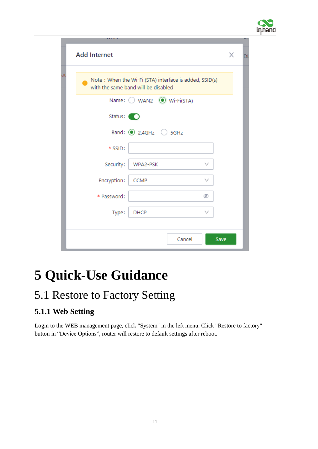

|    | <b>Add Internet</b>                                                                           |                                   |        |              | X    |  |
|----|-----------------------------------------------------------------------------------------------|-----------------------------------|--------|--------------|------|--|
| at | Note: When the Wi-Fi (STA) interface is added, SSID(s)<br>with the same band will be disabled |                                   |        |              |      |  |
|    |                                                                                               | Name: ○ WAN2 ● Wi-Fi(STA)         |        |              |      |  |
|    | Status: (                                                                                     |                                   |        |              |      |  |
|    |                                                                                               | Band: $\odot$ 2.4GHz $\odot$ 5GHz |        |              |      |  |
|    | * SSID:                                                                                       |                                   |        |              |      |  |
|    | Security:                                                                                     | WPA2-PSK                          |        | v            |      |  |
|    | Encryption:                                                                                   | <b>CCMP</b>                       |        | $\checkmark$ |      |  |
|    | * Password:                                                                                   |                                   |        | ø            |      |  |
|    | Type:                                                                                         | <b>DHCP</b>                       |        | $\checkmark$ |      |  |
|    |                                                                                               |                                   |        |              |      |  |
|    |                                                                                               |                                   | Cancel |              | Save |  |

## <span id="page-12-0"></span>**5 Quick-Use Guidance**

### <span id="page-12-1"></span>5.1 Restore to Factory Setting

#### <span id="page-12-2"></span>**5.1.1 Web Setting**

Login to the WEB management page, click "System" in the left menu. Click "Restore to factory" button in "Device Options", router will restore to default settings after reboot.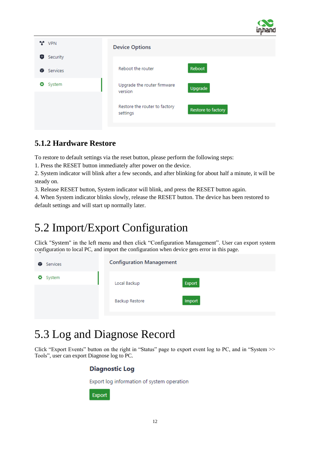

| $\gamma$ VPN                           | <b>Device Options</b>                                           |  |  |  |  |  |  |
|----------------------------------------|-----------------------------------------------------------------|--|--|--|--|--|--|
| 0<br>Security<br><b>Services</b><br>82 | Reboot<br>Reboot the router                                     |  |  |  |  |  |  |
| System<br>o                            | Upgrade the router firmware<br>Upgrade<br>version               |  |  |  |  |  |  |
|                                        | Restore the router to factory<br>Restore to factory<br>settings |  |  |  |  |  |  |

#### <span id="page-13-0"></span>**5.1.2 Hardware Restore**

To restore to default settings via the reset button, please perform the following steps:

1. Press the RESET button immediately after power on the device.

2. System indicator will blink after a few seconds, and after blinking for about half a minute, it will be steady on.

3. Release RESET button, System indicator will blink, and press the RESET button again.

4. When System indicator blinks slowly, release the RESET button. The device has been restored to default settings and will start up normally later.

### <span id="page-13-1"></span>5.2 Import/Export Configuration

Click "System" in the left menu and then click "Configuration Management". User can export system configuration to local PC, and import the configuration when device gets error in this page.

| Services<br>82 | <b>Configuration Management</b> |        |  |  |  |  |  |  |
|----------------|---------------------------------|--------|--|--|--|--|--|--|
| System         | Local Backup                    | Export |  |  |  |  |  |  |
| o              | <b>Backup Restore</b>           | Import |  |  |  |  |  |  |

### <span id="page-13-2"></span>5.3 Log and Diagnose Record

Click "Export Events" button on the right in "Status" page to export event log to PC, and in "System >> Tools", user can export Diagnose log to PC.

#### **Diagnostic Log**

Export log information of system operation

**Export**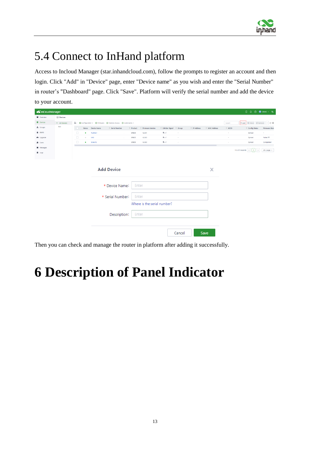

### <span id="page-14-0"></span>5.4 Connect to InHand platform

Access to Incloud Manager (star.inhandcloud.com), follow the prompts to register an account and then login. Click "Add" in "Device" page, enter "Device name" as you wish and enter the "Serial Number" in router's "Dashboard" page. Click "Save". Platform will verify the serial number and add the device to your account.

| <b>S</b> InCloud Manager |                |        |           |                     |                                                               |              |                  |                             |            |              |               |            | <b>□ ○ ◎ ● DEMO · 丸</b>                             |                       |
|--------------------------|----------------|--------|-----------|---------------------|---------------------------------------------------------------|--------------|------------------|-----------------------------|------------|--------------|---------------|------------|-----------------------------------------------------|-----------------------|
| <b>D</b> Overview        | <b>Devices</b> |        |           |                     |                                                               |              |                  |                             |            |              |               |            |                                                     |                       |
| <b>El</b> Devices        | - All Devices  |        |           |                     | E   O Configuration ▼ O Firmware O Remote Access O Commands ▼ |              |                  |                             |            |              |               | Search     | + Add E Move E Remove … C <sup>®</sup>              |                       |
| A Groups                 | test           |        | Status    | <b>Device Name</b>  | C Serial Number                                               | Product      | Firmware Version |                             |            | # IP Address | A MAC Address | $C = ICCD$ | $\div$ Config Status                                | <b>Firmware Stats</b> |
| Alerts                   |                | $\Box$ | $\bullet$ | RL80521             |                                                               | <b>ER805</b> | V2.0.1           | $B_{\text{full}}$           | $\sim$     |              |               | $\sim$     | Synced                                              |                       |
| O Upgrade                |                | $\Box$ | $\circ$   | ts92                |                                                               | <b>ER805</b> | V2.0.0           | $B_{n+1}$                   | $\sim$     |              |               | $\sim$     | Synced                                              | Failed <sup>(C)</sup> |
| <b>图</b> Users           |                | $\Box$ | ٠         | Branch <sub>2</sub> |                                                               | <b>ER805</b> | V2.0.0           | $B_{\text{null}}$           | $\epsilon$ |              |               | ×          | Synced                                              | Completed             |
| Messages                 |                |        |           |                     |                                                               |              |                  |                             |            |              |               |            | 1-3 of 3 records $\vert < \vert$ 1<br>$\rightarrow$ | 20 / page $\vee$      |
| <b>D</b> Logs            |                |        |           |                     |                                                               |              |                  |                             |            |              |               |            |                                                     |                       |
|                          |                |        |           |                     |                                                               |              |                  |                             |            |              |               |            |                                                     |                       |
|                          |                |        |           |                     |                                                               |              |                  |                             |            |              |               |            |                                                     |                       |
|                          |                |        |           |                     | <b>Add Device</b>                                             |              |                  |                             |            |              | X             |            |                                                     |                       |
|                          |                |        |           |                     |                                                               |              |                  |                             |            |              |               |            |                                                     |                       |
|                          |                |        |           |                     |                                                               |              |                  |                             |            |              |               |            |                                                     |                       |
|                          |                |        |           |                     | * Device Name:                                                | Enter        |                  |                             |            |              |               |            |                                                     |                       |
|                          |                |        |           |                     |                                                               |              |                  |                             |            |              |               |            |                                                     |                       |
|                          |                |        |           |                     | * Serial Number:                                              | Enter        |                  |                             |            |              |               |            |                                                     |                       |
|                          |                |        |           |                     |                                                               |              |                  | Where is the serial number? |            |              |               |            |                                                     |                       |
|                          |                |        |           |                     |                                                               |              |                  |                             |            |              |               |            |                                                     |                       |
|                          |                |        |           |                     | Description:                                                  |              | Enter            |                             |            |              |               |            |                                                     |                       |
|                          |                |        |           |                     |                                                               |              |                  |                             |            |              |               |            |                                                     |                       |
|                          |                |        |           |                     |                                                               |              |                  |                             |            |              |               |            |                                                     |                       |
|                          |                |        |           |                     |                                                               |              |                  |                             |            |              |               |            |                                                     |                       |
|                          |                |        |           |                     |                                                               |              |                  |                             | Cancel     |              | Save          |            |                                                     |                       |

Then you can check and manage the router in platform after adding it successfully.

# <span id="page-14-1"></span>**6 Description of Panel Indicator**